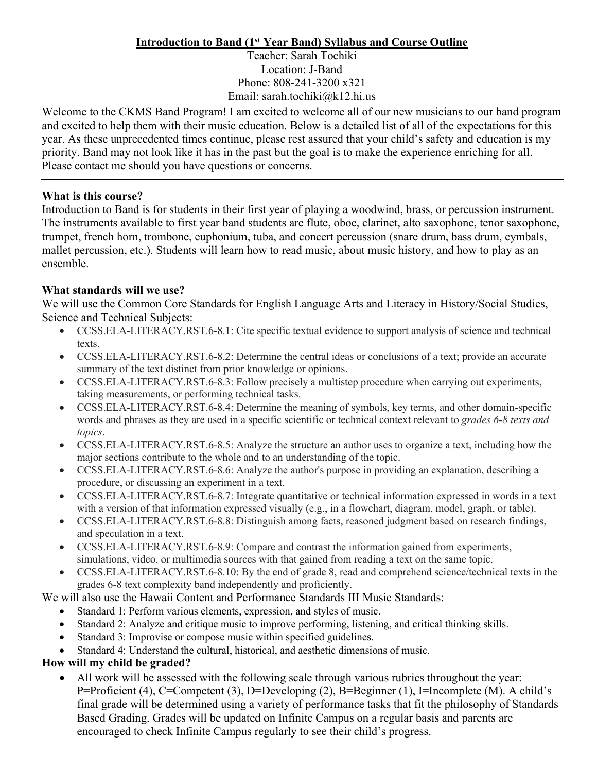# **Introduction to Band (1st Year Band) Syllabus and Course Outline**

Teacher: Sarah Tochiki Location: J-Band Phone: 808-241-3200 x321 Email: sarah.tochiki@k12.hi.us

Welcome to the CKMS Band Program! I am excited to welcome all of our new musicians to our band program and excited to help them with their music education. Below is a detailed list of all of the expectations for this year. As these unprecedented times continue, please rest assured that your child's safety and education is my priority. Band may not look like it has in the past but the goal is to make the experience enriching for all. Please contact me should you have questions or concerns.

#### **What is this course?**

Introduction to Band is for students in their first year of playing a woodwind, brass, or percussion instrument. The instruments available to first year band students are flute, oboe, clarinet, alto saxophone, tenor saxophone, trumpet, french horn, trombone, euphonium, tuba, and concert percussion (snare drum, bass drum, cymbals, mallet percussion, etc.). Students will learn how to read music, about music history, and how to play as an ensemble.

# **What standards will we use?**

We will use the Common Core Standards for English Language Arts and Literacy in History/Social Studies, Science and Technical Subjects:

- CCSS.ELA-LITERACY.RST.6-8.1: Cite specific textual evidence to support analysis of science and technical texts.
- CCSS.ELA-LITERACY.RST.6-8.2: Determine the central ideas or conclusions of a text; provide an accurate summary of the text distinct from prior knowledge or opinions.
- CCSS.ELA-LITERACY.RST.6-8.3: Follow precisely a multistep procedure when carrying out experiments, taking measurements, or performing technical tasks.
- CCSS.ELA-LITERACY.RST.6-8.4: Determine the meaning of symbols, key terms, and other domain-specific words and phrases as they are used in a specific scientific or technical context relevant to *grades 6-8 texts and topics*.
- CCSS.ELA-LITERACY.RST.6-8.5: Analyze the structure an author uses to organize a text, including how the major sections contribute to the whole and to an understanding of the topic.
- CCSS.ELA-LITERACY.RST.6-8.6: Analyze the author's purpose in providing an explanation, describing a procedure, or discussing an experiment in a text.
- CCSS.ELA-LITERACY.RST.6-8.7: Integrate quantitative or technical information expressed in words in a text with a version of that information expressed visually (e.g., in a flowchart, diagram, model, graph, or table).
- CCSS.ELA-LITERACY.RST.6-8.8: Distinguish among facts, reasoned judgment based on research findings, and speculation in a text.
- CCSS.ELA-LITERACY.RST.6-8.9: Compare and contrast the information gained from experiments, simulations, video, or multimedia sources with that gained from reading a text on the same topic.
- CCSS.ELA-LITERACY.RST.6-8.10: By the end of grade 8, read and comprehend science/technical texts in the grades 6-8 text complexity band independently and proficiently.

# We will also use the Hawaii Content and Performance Standards III Music Standards:

- Standard 1: Perform various elements, expression, and styles of music.
- Standard 2: Analyze and critique music to improve performing, listening, and critical thinking skills.
- Standard 3: Improvise or compose music within specified guidelines.
- Standard 4: Understand the cultural, historical, and aesthetic dimensions of music.

# **How will my child be graded?**

• All work will be assessed with the following scale through various rubrics throughout the year: P=Proficient (4), C=Competent (3), D=Developing (2), B=Beginner (1), I=Incomplete (M). A child's final grade will be determined using a variety of performance tasks that fit the philosophy of Standards Based Grading. Grades will be updated on Infinite Campus on a regular basis and parents are encouraged to check Infinite Campus regularly to see their child's progress.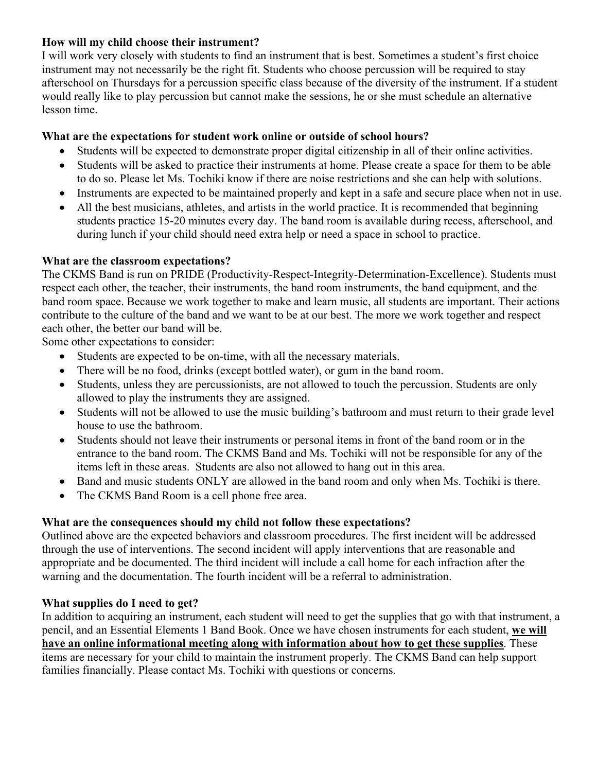#### **How will my child choose their instrument?**

I will work very closely with students to find an instrument that is best. Sometimes a student's first choice instrument may not necessarily be the right fit. Students who choose percussion will be required to stay afterschool on Thursdays for a percussion specific class because of the diversity of the instrument. If a student would really like to play percussion but cannot make the sessions, he or she must schedule an alternative lesson time.

# **What are the expectations for student work online or outside of school hours?**

- Students will be expected to demonstrate proper digital citizenship in all of their online activities.
- Students will be asked to practice their instruments at home. Please create a space for them to be able to do so. Please let Ms. Tochiki know if there are noise restrictions and she can help with solutions.
- Instruments are expected to be maintained properly and kept in a safe and secure place when not in use.
- All the best musicians, athletes, and artists in the world practice. It is recommended that beginning students practice 15-20 minutes every day. The band room is available during recess, afterschool, and during lunch if your child should need extra help or need a space in school to practice.

# **What are the classroom expectations?**

The CKMS Band is run on PRIDE (Productivity-Respect-Integrity-Determination-Excellence). Students must respect each other, the teacher, their instruments, the band room instruments, the band equipment, and the band room space. Because we work together to make and learn music, all students are important. Their actions contribute to the culture of the band and we want to be at our best. The more we work together and respect each other, the better our band will be.

Some other expectations to consider:

- Students are expected to be on-time, with all the necessary materials.
- There will be no food, drinks (except bottled water), or gum in the band room.
- Students, unless they are percussionists, are not allowed to touch the percussion. Students are only allowed to play the instruments they are assigned.
- Students will not be allowed to use the music building's bathroom and must return to their grade level house to use the bathroom.
- Students should not leave their instruments or personal items in front of the band room or in the entrance to the band room. The CKMS Band and Ms. Tochiki will not be responsible for any of the items left in these areas. Students are also not allowed to hang out in this area.
- Band and music students ONLY are allowed in the band room and only when Ms. Tochiki is there.
- The CKMS Band Room is a cell phone free area.

# **What are the consequences should my child not follow these expectations?**

Outlined above are the expected behaviors and classroom procedures. The first incident will be addressed through the use of interventions. The second incident will apply interventions that are reasonable and appropriate and be documented. The third incident will include a call home for each infraction after the warning and the documentation. The fourth incident will be a referral to administration.

# **What supplies do I need to get?**

In addition to acquiring an instrument, each student will need to get the supplies that go with that instrument, a pencil, and an Essential Elements 1 Band Book. Once we have chosen instruments for each student, **we will have an online informational meeting along with information about how to get these supplies**. These items are necessary for your child to maintain the instrument properly. The CKMS Band can help support families financially. Please contact Ms. Tochiki with questions or concerns.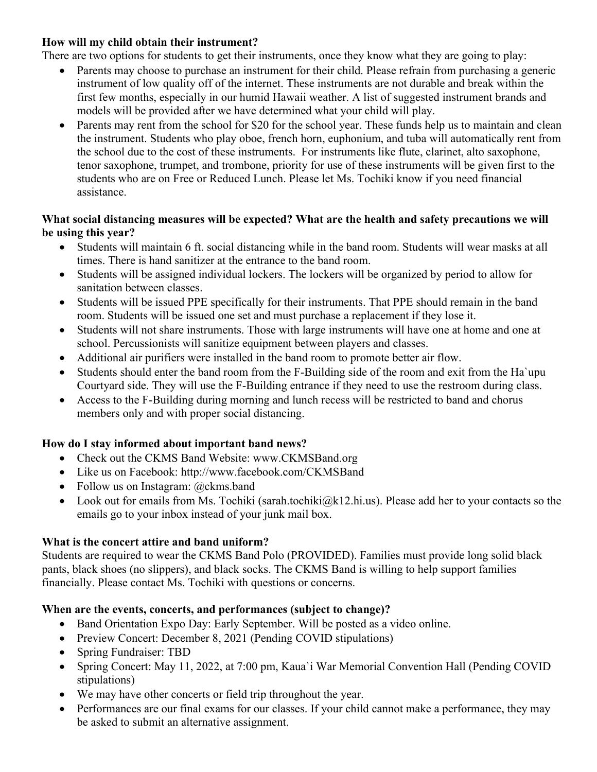#### **How will my child obtain their instrument?**

There are two options for students to get their instruments, once they know what they are going to play:

- Parents may choose to purchase an instrument for their child. Please refrain from purchasing a generic instrument of low quality off of the internet. These instruments are not durable and break within the first few months, especially in our humid Hawaii weather. A list of suggested instrument brands and models will be provided after we have determined what your child will play.
- Parents may rent from the school for \$20 for the school year. These funds help us to maintain and clean the instrument. Students who play oboe, french horn, euphonium, and tuba will automatically rent from the school due to the cost of these instruments. For instruments like flute, clarinet, alto saxophone, tenor saxophone, trumpet, and trombone, priority for use of these instruments will be given first to the students who are on Free or Reduced Lunch. Please let Ms. Tochiki know if you need financial assistance.

#### **What social distancing measures will be expected? What are the health and safety precautions we will be using this year?**

- Students will maintain 6 ft. social distancing while in the band room. Students will wear masks at all times. There is hand sanitizer at the entrance to the band room.
- Students will be assigned individual lockers. The lockers will be organized by period to allow for sanitation between classes.
- Students will be issued PPE specifically for their instruments. That PPE should remain in the band room. Students will be issued one set and must purchase a replacement if they lose it.
- Students will not share instruments. Those with large instruments will have one at home and one at school. Percussionists will sanitize equipment between players and classes.
- Additional air purifiers were installed in the band room to promote better air flow.
- Students should enter the band room from the F-Building side of the room and exit from the Ha'upu Courtyard side. They will use the F-Building entrance if they need to use the restroom during class.
- Access to the F-Building during morning and lunch recess will be restricted to band and chorus members only and with proper social distancing.

# **How do I stay informed about important band news?**

- Check out the CKMS Band Website: www.CKMSBand.org
- Like us on Facebook: http://www.facebook.com/CKMSBand
- Follow us on Instagram: @ckms.band
- Look out for emails from Ms. Tochiki (sarah.tochiki@k12.hi.us). Please add her to your contacts so the emails go to your inbox instead of your junk mail box.

# **What is the concert attire and band uniform?**

Students are required to wear the CKMS Band Polo (PROVIDED). Families must provide long solid black pants, black shoes (no slippers), and black socks. The CKMS Band is willing to help support families financially. Please contact Ms. Tochiki with questions or concerns.

# **When are the events, concerts, and performances (subject to change)?**

- Band Orientation Expo Day: Early September. Will be posted as a video online.
- Preview Concert: December 8, 2021 (Pending COVID stipulations)
- Spring Fundraiser: TBD
- Spring Concert: May 11, 2022, at 7:00 pm, Kaua'i War Memorial Convention Hall (Pending COVID stipulations)
- We may have other concerts or field trip throughout the year.
- Performances are our final exams for our classes. If your child cannot make a performance, they may be asked to submit an alternative assignment.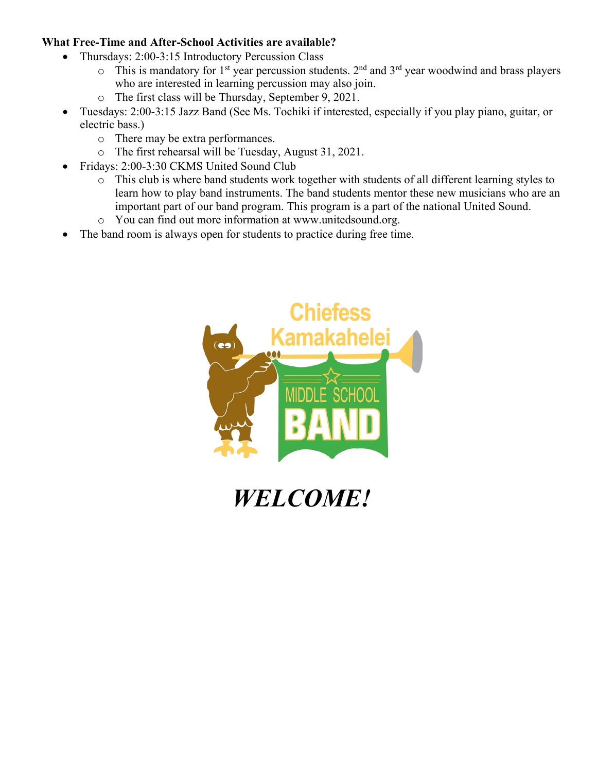#### **What Free-Time and After-School Activities are available?**

- Thursdays: 2:00-3:15 Introductory Percussion Class
	- $\circ$  This is mandatory for 1<sup>st</sup> year percussion students. 2<sup>nd</sup> and 3<sup>rd</sup> year woodwind and brass players who are interested in learning percussion may also join.
	- o The first class will be Thursday, September 9, 2021.
- Tuesdays: 2:00-3:15 Jazz Band (See Ms. Tochiki if interested, especially if you play piano, guitar, or electric bass.)
	- o There may be extra performances.
	- o The first rehearsal will be Tuesday, August 31, 2021.
- Fridays: 2:00-3:30 CKMS United Sound Club
	- o This club is where band students work together with students of all different learning styles to learn how to play band instruments. The band students mentor these new musicians who are an important part of our band program. This program is a part of the national United Sound.
	- o You can find out more information at www.unitedsound.org.
- The band room is always open for students to practice during free time.



*WELCOME!*